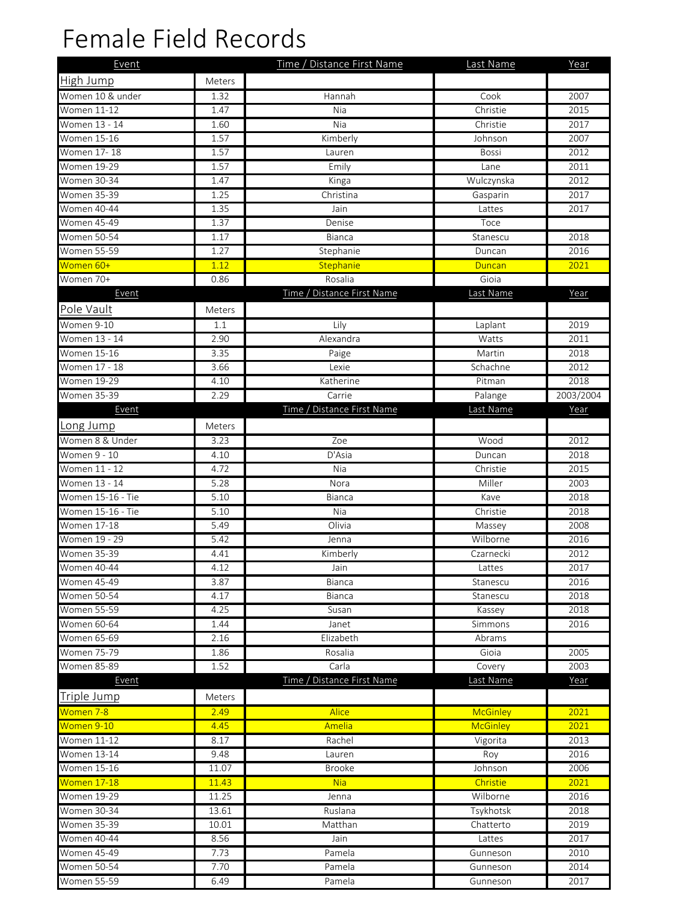## Female Field Records

| Event              |               | Time / Distance First Name | Last Name       | Year      |
|--------------------|---------------|----------------------------|-----------------|-----------|
| High Jump          | <b>Meters</b> |                            |                 |           |
| Women 10 & under   | 1.32          | Hannah                     | Cook            | 2007      |
| Women 11-12        | 1.47          | Nia                        | Christie        | 2015      |
| Women 13 - 14      | 1.60          | Nia                        | Christie        | 2017      |
| <b>Women 15-16</b> | 1.57          | Kimberly                   | Johnson         | 2007      |
| <b>Women 17-18</b> | 1.57          | Lauren                     | <b>Bossi</b>    | 2012      |
| <b>Women 19-29</b> | 1.57          | Emily                      | Lane            | 2011      |
| <b>Women 30-34</b> | 1.47          | Kinga                      | Wulczynska      | 2012      |
| <b>Women 35-39</b> | 1.25          | Christina                  | Gasparin        | 2017      |
| Women 40-44        | 1.35          | Jain                       | Lattes          | 2017      |
| <b>Women 45-49</b> | 1.37          | Denise                     | Toce            |           |
| <b>Women 50-54</b> | 1.17          | <b>Bianca</b>              | Stanescu        | 2018      |
| <b>Women 55-59</b> | 1.27          | Stephanie                  | Duncan          | 2016      |
| Women 60+          | 1.12          | Stephanie                  | Duncan          | 2021      |
| Women 70+          | 0.86          | Rosalia                    | Gioia           |           |
| Event              |               | Time / Distance First Name | Last Name       | Year      |
| Pole Vault         | Meters        |                            |                 |           |
| Women 9-10         | 1.1           | Lily                       | Laplant         | 2019      |
| Women 13 - 14      | 2.90          | Alexandra                  | Watts           | 2011      |
| <b>Women 15-16</b> | 3.35          |                            | Martin          | 2018      |
| Women 17 - 18      | 3.66          | Paige<br>Lexie             | Schachne        | 2012      |
| Women 19-29        | 4.10          | Katherine                  | Pitman          | 2018      |
| <b>Women 35-39</b> | 2.29          | Carrie                     | Palange         | 2003/2004 |
| Event              |               | Time / Distance First Name | Last Name       | Year      |
|                    |               |                            |                 |           |
| Long Jump          | Meters        |                            |                 |           |
| Women 8 & Under    | 3.23          | Zoe                        | Wood            | 2012      |
| Women 9 - 10       | 4.10          | D'Asia                     | Duncan          | 2018      |
| Women 11 - 12      | 4.72          | Nia                        | Christie        | 2015      |
| Women 13 - 14      | 5.28          | Nora                       | Miller          | 2003      |
| Women 15-16 - Tie  | 5.10          | Bianca                     | Kave            | 2018      |
| Women 15-16 - Tie  | 5.10          | Nia                        | Christie        | 2018      |
| <b>Women 17-18</b> | 5.49          | Olivia                     | Massey          | 2008      |
| Women 19 - 29      | 5.42          | Jenna                      | Wilborne        | 2016      |
| <b>Women 35-39</b> | 4.41          | Kimberly                   | Czarnecki       | 2012      |
| Women 40-44        | 4.12          | Jain                       | Lattes          | 2017      |
| Women 45-49        | 3.87          | <b>Bianca</b>              | Stanescu        | 2016      |
| <b>Women 50-54</b> | 4.17          | Bianca                     | Stanescu        | 2018      |
| <b>Women 55-59</b> | 4.25          | Susan                      | Kassey          | 2018      |
| <b>Women 60-64</b> | 1.44          | Janet                      | Simmons         | 2016      |
| <b>Women 65-69</b> | 2.16          | Elizabeth                  | Abrams          |           |
| <b>Women 75-79</b> | 1.86          | Rosalia                    | Gioia           | 2005      |
| Women 85-89        | 1.52          | Carla                      | Covery          | 2003      |
| Event              |               | Time / Distance First Name | Last Name       | Year      |
| Triple Jump        | Meters        |                            |                 |           |
| Women 7-8          | 2.49          | <b>Alice</b>               | <b>McGinley</b> | 2021      |
| Women 9-10         | 4.45          | Amelia                     | McGinley        | 2021      |
| <b>Women 11-12</b> | 8.17          | Rachel                     | Vigorita        | 2013      |
| <b>Women 13-14</b> | 9.48          | Lauren                     | Roy             | 2016      |
| Women 15-16        | 11.07         | <b>Brooke</b>              | Johnson         | 2006      |
| Women 17-18        | 11.43         | <b>Nia</b>                 | Christie        | 2021      |
| Women 19-29        | 11.25         | Jenna                      | Wilborne        | 2016      |
| <b>Women 30-34</b> | 13.61         | Ruslana                    | Tsykhotsk       | 2018      |
| Women 35-39        | 10.01         | Matthan                    | Chatterto       | 2019      |
| <b>Women 40-44</b> | 8.56          | Jain                       | Lattes          | 2017      |
| <b>Women 45-49</b> | 7.73          | Pamela                     | Gunneson        | 2010      |
| <b>Women 50-54</b> | 7.70          | Pamela                     | Gunneson        | 2014      |
| <b>Women 55-59</b> | 6.49          | Pamela                     | Gunneson        | 2017      |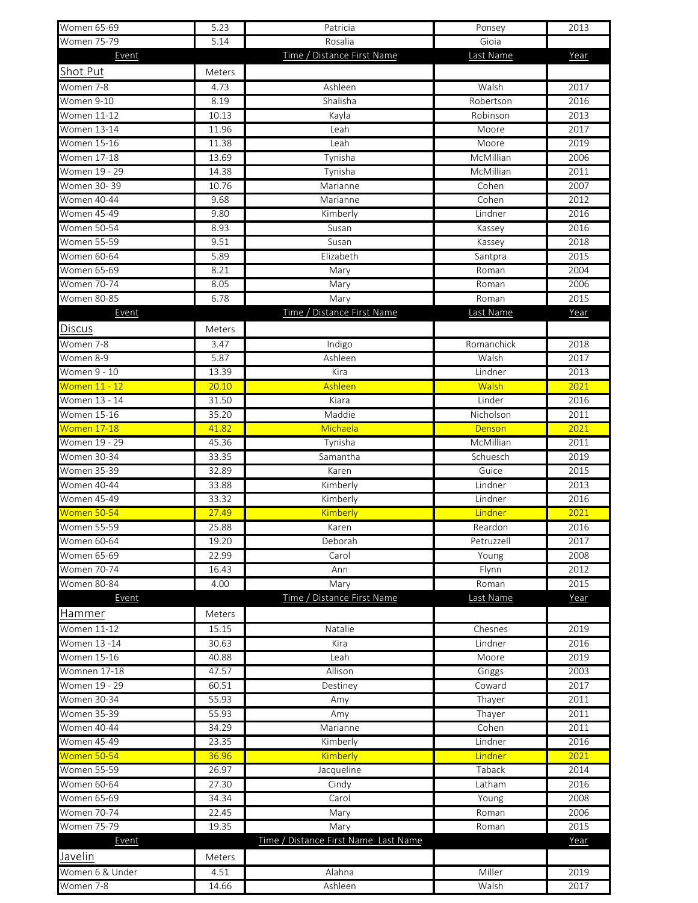| Women 65-69        | 5.23   | Patricia                             | Ponsey       | 2013 |
|--------------------|--------|--------------------------------------|--------------|------|
| <b>Women 75-79</b> | 5.14   | Rosalia                              | Gioia        |      |
| Event              |        | Time / Distance First Name           | Last Name    | Year |
| Shot Put           | Meters |                                      |              |      |
| Women 7-8          | 4.73   | Ashleen                              | Walsh        | 2017 |
| Women 9-10         | 8.19   | Shalisha                             | Robertson    | 2016 |
| Women 11-12        | 10.13  | Kayla                                | Robinson     | 2013 |
| <b>Women 13-14</b> | 11.96  | Leah                                 | Moore        | 2017 |
| Women 15-16        | 11.38  | Leah                                 | Moore        | 2019 |
| Women 17-18        | 13.69  | Tynisha                              | McMillian    | 2006 |
| Women 19 - 29      | 14.38  | Tynisha                              | McMillian    | 2011 |
| Women 30-39        | 10.76  | Marianne                             | Cohen        | 2007 |
| Women 40-44        | 9.68   | Marianne                             | Cohen        | 2012 |
| Women 45-49        | 9.80   | Kimberly                             | Lindner      | 2016 |
| Women 50-54        | 8.93   | Susan                                | Kassey       | 2016 |
| Women 55-59        | 9.51   | Susan                                | Kassey       | 2018 |
| Women 60-64        | 5.89   | Elizabeth                            | Santpra      | 2015 |
| Women 65-69        | 8.21   | Mary                                 | Roman        | 2004 |
| Women 70-74        | 8.05   | Mary                                 | Roman        | 2006 |
| Women 80-85        | 6.78   | Mary                                 | Roman        | 2015 |
| Event              |        | Time / Distance First Name           | Last Name    | Year |
| Discus             | Meters |                                      |              |      |
| Women 7-8          | 3.47   | Indigo                               | Romanchick   | 2018 |
| Women 8-9          |        | Ashleen                              | Walsh        | 2017 |
| Women 9 - 10       | 5.87   | Kira                                 |              |      |
|                    | 13.39  |                                      | Lindner      | 2013 |
| Women 11 - 12      | 20.10  | Ashleen                              | <b>Walsh</b> | 2021 |
| Women 13 - 14      | 31.50  | Kiara                                | Linder       | 2016 |
| <b>Women 15-16</b> | 35.20  | Maddie                               | Nicholson    | 2011 |
| Women 17-18        | 41.82  | Michaela                             | Denson       | 2021 |
| Women 19 - 29      | 45.36  | Tynisha                              | McMillian    | 2011 |
| Women 30-34        | 33.35  | Samantha                             | Schuesch     | 2019 |
| <b>Women 35-39</b> | 32.89  | Karen                                | Guice        | 2015 |
| Women 40-44        | 33.88  | Kimberly                             | Lindner      | 2013 |
| <b>Women 45-49</b> | 33.32  | Kimberly                             | Lindner      | 2016 |
| Women 50-54        | 27.49  | Kimberly                             | Lindner      | 2021 |
| <b>Women 55-59</b> | 25.88  | Karen                                | Reardon      | 2016 |
| Women 60-64        | 19.20  | Deborah                              | Petruzzell   | 2017 |
| Women 65-69        | 22.99  | Carol                                | Young        | 2008 |
| Women 70-74        | 16.43  | Ann                                  | Flynn        | 2012 |
| Women 80-84        | 4.00   | Mary                                 | Roman        | 2015 |
| Event              |        | Time / Distance First Name           | Last Name    | Year |
| Hammer             | Meters |                                      |              |      |
| Women 11-12        | 15.15  | Natalie                              | Chesnes      | 2019 |
| Women 13 -14       | 30.63  | Kira                                 | Lindner      | 2016 |
| <b>Women 15-16</b> | 40.88  | Leah                                 | Moore        | 2019 |
| Womnen 17-18       | 47.57  | Allison                              | Griggs       | 2003 |
| Women 19 - 29      | 60.51  | Destiney                             | Coward       | 2017 |
| <b>Women 30-34</b> | 55.93  | Amy                                  | Thayer       | 2011 |
| Women 35-39        | 55.93  | Amy                                  | Thayer       | 2011 |
| Women 40-44        | 34.29  | Marianne                             | Cohen        | 2011 |
| Women 45-49        | 23.35  | Kimberly                             | Lindner      | 2016 |
| Women 50-54        | 36.96  | Kimberly                             | Lindner      | 2021 |
| Women 55-59        | 26.97  | Jacqueline                           | Taback       | 2014 |
| Women 60-64        | 27.30  | Cindy                                | Latham       | 2016 |
| Women 65-69        | 34.34  | Carol                                | Young        | 2008 |
| Women 70-74        | 22.45  | Mary                                 | Roman        | 2006 |
| Women 75-79        | 19.35  | Mary                                 | Roman        | 2015 |
| Event              |        | Time / Distance First Name Last Name |              | Year |
| Javelin            |        |                                      |              |      |
|                    | Meters |                                      |              |      |
| Women 6 & Under    | 4.51   | Alahna                               | Miller       | 2019 |
| Women 7-8          | 14.66  | Ashleen                              | Walsh        | 2017 |